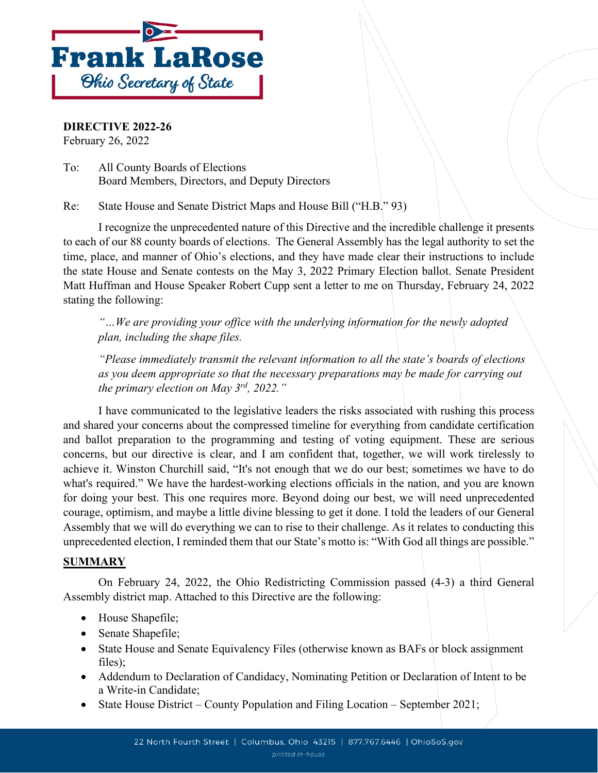

**DIRECTIVE 2022-26** February 26, 2022

To: All County Boards of Elections Board Members, Directors, and Deputy Directors

Re: State House and Senate District Maps and House Bill ("H.B." 93)

I recognize the unprecedented nature of this Directive and the incredible challenge it presents to each of our 88 county boards of elections. The General Assembly has the legal authority to set the time, place, and manner of Ohio's elections, and they have made clear their instructions to include the state House and Senate contests on the May 3, 2022 Primary Election ballot. Senate President Matt Huffman and House Speaker Robert Cupp sent a letter to me on Thursday, February 24, 2022 stating the following:

*"…We are providing your office with the underlying information for the newly adopted plan, including the shape files.*

*"Please immediately transmit the relevant information to all the state's boards of elections as you deem appropriate so that the necessary preparations may be made for carrying out the primary election on May 3rd, 2022."*

I have communicated to the legislative leaders the risks associated with rushing this process and shared your concerns about the compressed timeline for everything from candidate certification and ballot preparation to the programming and testing of voting equipment. These are serious concerns, but our directive is clear, and I am confident that, together, we will work tirelessly to achieve it. Winston Churchill said, "It's not enough that we do our best; sometimes we have to do what's required." We have the hardest-working elections officials in the nation, and you are known for doing your best. This one requires more. Beyond doing our best, we will need unprecedented courage, optimism, and maybe a little divine blessing to get it done. I told the leaders of our General Assembly that we will do everything we can to rise to their challenge. As it relates to conducting this unprecedented election, I reminded them that our State's motto is: "With God all things are possible."

#### **SUMMARY**

On February 24, 2022, the Ohio Redistricting Commission passed (4-3) a third General Assembly district map. Attached to this Directive are the following:

- House Shapefile;
- Senate Shapefile;
- State House and Senate Equivalency Files (otherwise known as BAFs or block assignment files);
- Addendum to Declaration of Candidacy, Nominating Petition or Declaration of Intent to be a Write-in Candidate;
- State House District County Population and Filing Location September 2021;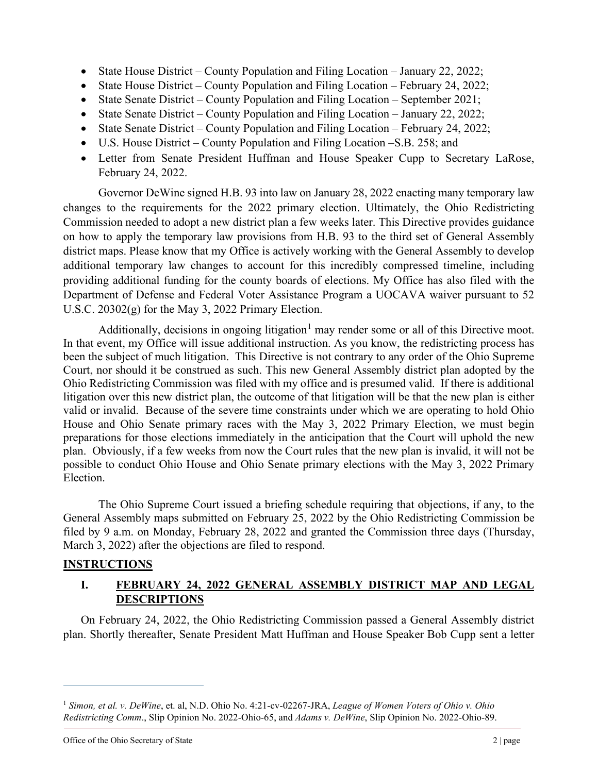- State House District County Population and Filing Location January 22, 2022;
- State House District County Population and Filing Location February 24, 2022;
- State Senate District County Population and Filing Location September 2021;
- State Senate District County Population and Filing Location January 22, 2022;
- State Senate District County Population and Filing Location February 24, 2022;
- U.S. House District County Population and Filing Location –S.B. 258; and
- Letter from Senate President Huffman and House Speaker Cupp to Secretary LaRose, February 24, 2022.

Governor DeWine signed H.B. 93 into law on January 28, 2022 enacting many temporary law changes to the requirements for the 2022 primary election. Ultimately, the Ohio Redistricting Commission needed to adopt a new district plan a few weeks later. This Directive provides guidance on how to apply the temporary law provisions from H.B. 93 to the third set of General Assembly district maps. Please know that my Office is actively working with the General Assembly to develop additional temporary law changes to account for this incredibly compressed timeline, including providing additional funding for the county boards of elections. My Office has also filed with the Department of Defense and Federal Voter Assistance Program a UOCAVA waiver pursuant to 52 U.S.C. 20302(g) for the May 3, 2022 Primary Election.

Additionally, decisions in ongoing litigation<sup>[1](#page-1-0)</sup> may render some or all of this Directive moot. In that event, my Office will issue additional instruction. As you know, the redistricting process has been the subject of much litigation. This Directive is not contrary to any order of the Ohio Supreme Court, nor should it be construed as such. This new General Assembly district plan adopted by the Ohio Redistricting Commission was filed with my office and is presumed valid. If there is additional litigation over this new district plan, the outcome of that litigation will be that the new plan is either valid or invalid. Because of the severe time constraints under which we are operating to hold Ohio House and Ohio Senate primary races with the May 3, 2022 Primary Election, we must begin preparations for those elections immediately in the anticipation that the Court will uphold the new plan. Obviously, if a few weeks from now the Court rules that the new plan is invalid, it will not be possible to conduct Ohio House and Ohio Senate primary elections with the May 3, 2022 Primary Election.

The Ohio Supreme Court issued a briefing schedule requiring that objections, if any, to the General Assembly maps submitted on February 25, 2022 by the Ohio Redistricting Commission be filed by 9 a.m. on Monday, February 28, 2022 and granted the Commission three days (Thursday, March 3, 2022) after the objections are filed to respond.

## **INSTRUCTIONS**

## **I. FEBRUARY 24, 2022 GENERAL ASSEMBLY DISTRICT MAP AND LEGAL DESCRIPTIONS**

On February 24, 2022, the Ohio Redistricting Commission passed a General Assembly district plan. Shortly thereafter, Senate President Matt Huffman and House Speaker Bob Cupp sent a letter

<span id="page-1-0"></span><sup>1</sup> *Simon, et al. v. DeWine*, et. al, N.D. Ohio No. 4:21-cv-02267-JRA, *League of Women Voters of Ohio v. Ohio Redistricting Comm*., Slip Opinion No. 2022-Ohio-65, and *Adams v. DeWine*, Slip Opinion No. 2022-Ohio-89.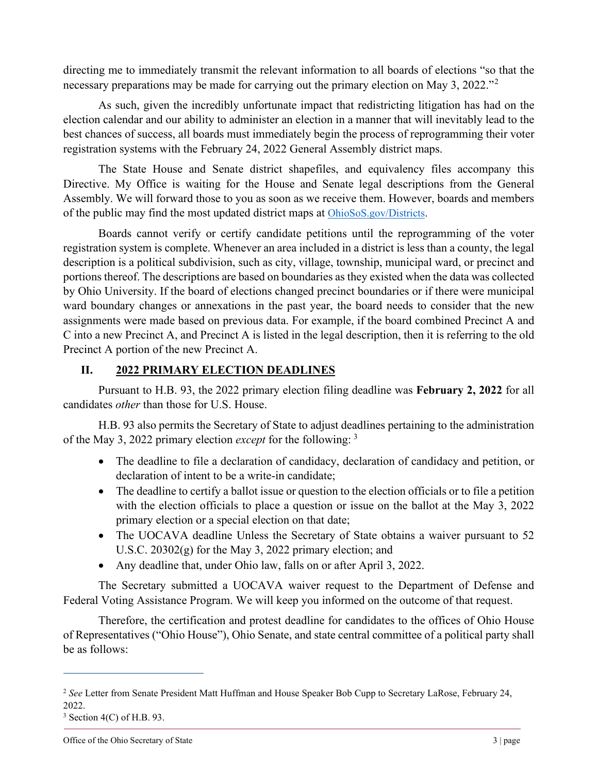directing me to immediately transmit the relevant information to all boards of elections "so that the necessary preparations may be made for carrying out the primary election on May 3, [2](#page-2-0)022.<sup>"2</sup>

As such, given the incredibly unfortunate impact that redistricting litigation has had on the election calendar and our ability to administer an election in a manner that will inevitably lead to the best chances of success, all boards must immediately begin the process of reprogramming their voter registration systems with the February 24, 2022 General Assembly district maps.

The State House and Senate district shapefiles, and equivalency files accompany this Directive. My Office is waiting for the House and Senate legal descriptions from the General Assembly. We will forward those to you as soon as we receive them. However, boards and members of the public may find the most updated district maps at [OhioSoS.gov/Districts.](https://www.ohiosos.gov/elections/ohio-candidates/district-maps/)

Boards cannot verify or certify candidate petitions until the reprogramming of the voter registration system is complete. Whenever an area included in a district is less than a county, the legal description is a political subdivision, such as city, village, township, municipal ward, or precinct and portions thereof. The descriptions are based on boundaries as they existed when the data was collected by Ohio University. If the board of elections changed precinct boundaries or if there were municipal ward boundary changes or annexations in the past year, the board needs to consider that the new assignments were made based on previous data. For example, if the board combined Precinct A and C into a new Precinct A, and Precinct A is listed in the legal description, then it is referring to the old Precinct A portion of the new Precinct A.

## **II. 2022 PRIMARY ELECTION DEADLINES**

Pursuant to H.B. 93, the 2022 primary election filing deadline was **February 2, 2022** for all candidates *other* than those for U.S. House.

H.B. 93 also permits the Secretary of State to adjust deadlines pertaining to the administration of the May 3, 2022 primary election *except* for the following: [3](#page-2-1)

- The deadline to file a declaration of candidacy, declaration of candidacy and petition, or declaration of intent to be a write-in candidate;
- The deadline to certify a ballot issue or question to the election officials or to file a petition with the election officials to place a question or issue on the ballot at the May 3, 2022 primary election or a special election on that date;
- The UOCAVA deadline Unless the Secretary of State obtains a waiver pursuant to 52 U.S.C.  $20302(g)$  for the May 3, 2022 primary election; and
- Any deadline that, under Ohio law, falls on or after April 3, 2022.

The Secretary submitted a UOCAVA waiver request to the Department of Defense and Federal Voting Assistance Program. We will keep you informed on the outcome of that request.

Therefore, the certification and protest deadline for candidates to the offices of Ohio House of Representatives ("Ohio House"), Ohio Senate, and state central committee of a political party shall be as follows:

<span id="page-2-0"></span><sup>2</sup> *See* Letter from Senate President Matt Huffman and House Speaker Bob Cupp to Secretary LaRose, February 24, 2022.

<span id="page-2-1"></span> $3$  Section 4(C) of H.B. 93.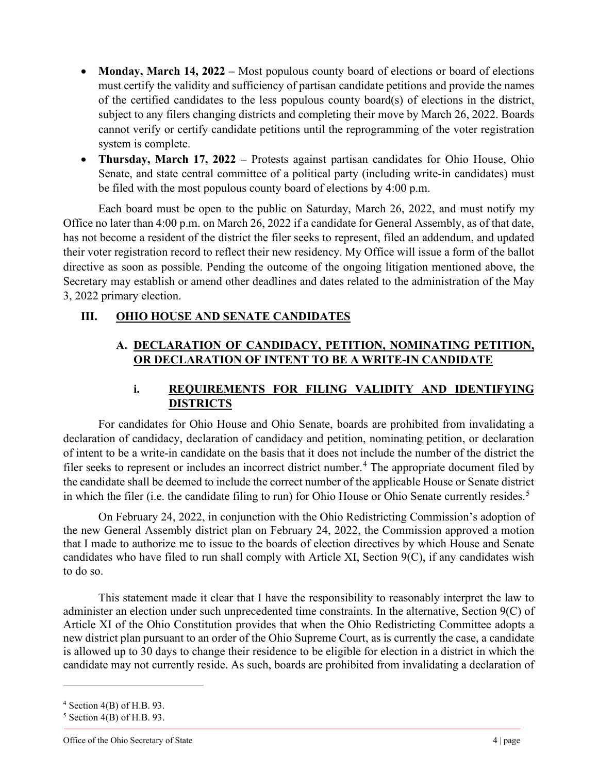- **Monday, March 14, 2022** Most populous county board of elections or board of elections must certify the validity and sufficiency of partisan candidate petitions and provide the names of the certified candidates to the less populous county board(s) of elections in the district, subject to any filers changing districts and completing their move by March 26, 2022. Boards cannot verify or certify candidate petitions until the reprogramming of the voter registration system is complete.
- **Thursday, March 17, 2022 –** Protests against partisan candidates for Ohio House, Ohio Senate, and state central committee of a political party (including write-in candidates) must be filed with the most populous county board of elections by 4:00 p.m.

Each board must be open to the public on Saturday, March 26, 2022, and must notify my Office no later than 4:00 p.m. on March 26, 2022 if a candidate for General Assembly, as of that date, has not become a resident of the district the filer seeks to represent, filed an addendum, and updated their voter registration record to reflect their new residency. My Office will issue a form of the ballot directive as soon as possible. Pending the outcome of the ongoing litigation mentioned above, the Secretary may establish or amend other deadlines and dates related to the administration of the May 3, 2022 primary election.

### **III. OHIO HOUSE AND SENATE CANDIDATES**

## **A. DECLARATION OF CANDIDACY, PETITION, NOMINATING PETITION, OR DECLARATION OF INTENT TO BE A WRITE-IN CANDIDATE**

### **i. REQUIREMENTS FOR FILING VALIDITY AND IDENTIFYING DISTRICTS**

For candidates for Ohio House and Ohio Senate, boards are prohibited from invalidating a declaration of candidacy, declaration of candidacy and petition, nominating petition, or declaration of intent to be a write-in candidate on the basis that it does not include the number of the district the filer seeks to represent or includes an incorrect district number.<sup>[4](#page-3-0)</sup> The appropriate document filed by the candidate shall be deemed to include the correct number of the applicable House or Senate district in which the filer (i.e. the candidate filing to run) for Ohio House or Ohio Senate currently resides.<sup>[5](#page-3-1)</sup>

On February 24, 2022, in conjunction with the Ohio Redistricting Commission's adoption of the new General Assembly district plan on February 24, 2022, the Commission approved a motion that I made to authorize me to issue to the boards of election directives by which House and Senate candidates who have filed to run shall comply with Article XI, Section 9(C), if any candidates wish to do so.

This statement made it clear that I have the responsibility to reasonably interpret the law to administer an election under such unprecedented time constraints. In the alternative, Section 9(C) of Article XI of the Ohio Constitution provides that when the Ohio Redistricting Committee adopts a new district plan pursuant to an order of the Ohio Supreme Court, as is currently the case, a candidate is allowed up to 30 days to change their residence to be eligible for election in a district in which the candidate may not currently reside. As such, boards are prohibited from invalidating a declaration of

<span id="page-3-0"></span> $4$  Section 4(B) of H.B. 93.

<span id="page-3-1"></span> $5$  Section 4(B) of H.B. 93.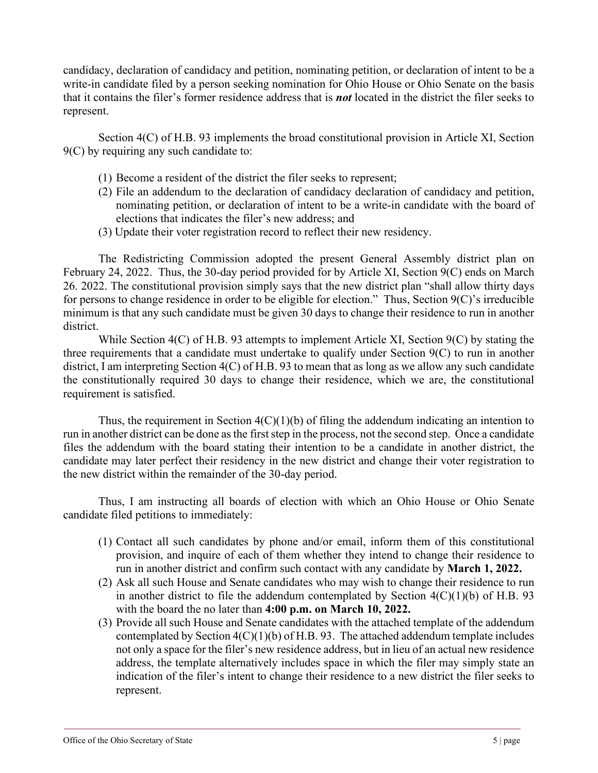candidacy, declaration of candidacy and petition, nominating petition, or declaration of intent to be a write-in candidate filed by a person seeking nomination for Ohio House or Ohio Senate on the basis that it contains the filer's former residence address that is *not* located in the district the filer seeks to represent.

Section 4(C) of H.B. 93 implements the broad constitutional provision in Article XI, Section 9(C) by requiring any such candidate to:

- (1) Become a resident of the district the filer seeks to represent;
- (2) File an addendum to the declaration of candidacy declaration of candidacy and petition, nominating petition, or declaration of intent to be a write-in candidate with the board of elections that indicates the filer's new address; and
- (3) Update their voter registration record to reflect their new residency.

The Redistricting Commission adopted the present General Assembly district plan on February 24, 2022. Thus, the 30-day period provided for by Article XI, Section 9(C) ends on March 26. 2022. The constitutional provision simply says that the new district plan "shall allow thirty days for persons to change residence in order to be eligible for election." Thus, Section 9(C)'s irreducible minimum is that any such candidate must be given 30 days to change their residence to run in another district.

While Section 4(C) of H.B. 93 attempts to implement Article XI, Section 9(C) by stating the three requirements that a candidate must undertake to qualify under Section 9(C) to run in another district, I am interpreting Section 4(C) of H.B. 93 to mean that as long as we allow any such candidate the constitutionally required 30 days to change their residence, which we are, the constitutional requirement is satisfied.

Thus, the requirement in Section  $4(C)(1)(b)$  of filing the addendum indicating an intention to run in another district can be done as the first step in the process, not the second step. Once a candidate files the addendum with the board stating their intention to be a candidate in another district, the candidate may later perfect their residency in the new district and change their voter registration to the new district within the remainder of the 30-day period.

Thus, I am instructing all boards of election with which an Ohio House or Ohio Senate candidate filed petitions to immediately:

- (1) Contact all such candidates by phone and/or email, inform them of this constitutional provision, and inquire of each of them whether they intend to change their residence to run in another district and confirm such contact with any candidate by **March 1, 2022.**
- (2) Ask all such House and Senate candidates who may wish to change their residence to run in another district to file the addendum contemplated by Section  $4(C)(1)(b)$  of H.B. 93 with the board the no later than **4:00 p.m. on March 10, 2022.**
- (3) Provide all such House and Senate candidates with the attached template of the addendum contemplated by Section  $4(C)(1)(b)$  of H.B. 93. The attached addendum template includes not only a space for the filer's new residence address, but in lieu of an actual new residence address, the template alternatively includes space in which the filer may simply state an indication of the filer's intent to change their residence to a new district the filer seeks to represent.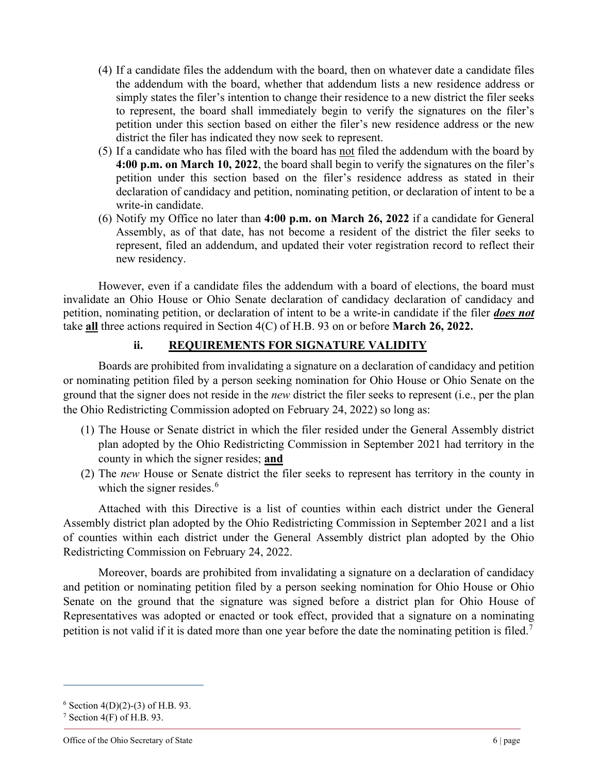- (4) If a candidate files the addendum with the board, then on whatever date a candidate files the addendum with the board, whether that addendum lists a new residence address or simply states the filer's intention to change their residence to a new district the filer seeks to represent, the board shall immediately begin to verify the signatures on the filer's petition under this section based on either the filer's new residence address or the new district the filer has indicated they now seek to represent.
- (5) If a candidate who has filed with the board has not filed the addendum with the board by **4:00 p.m. on March 10, 2022**, the board shall begin to verify the signatures on the filer's petition under this section based on the filer's residence address as stated in their declaration of candidacy and petition, nominating petition, or declaration of intent to be a write-in candidate.
- (6) Notify my Office no later than **4:00 p.m. on March 26, 2022** if a candidate for General Assembly, as of that date, has not become a resident of the district the filer seeks to represent, filed an addendum, and updated their voter registration record to reflect their new residency.

However, even if a candidate files the addendum with a board of elections, the board must invalidate an Ohio House or Ohio Senate declaration of candidacy declaration of candidacy and petition, nominating petition, or declaration of intent to be a write-in candidate if the filer *does not* take **all** three actions required in Section 4(C) of H.B. 93 on or before **March 26, 2022.**

### **ii. REQUIREMENTS FOR SIGNATURE VALIDITY**

Boards are prohibited from invalidating a signature on a declaration of candidacy and petition or nominating petition filed by a person seeking nomination for Ohio House or Ohio Senate on the ground that the signer does not reside in the *new* district the filer seeks to represent (i.e., per the plan the Ohio Redistricting Commission adopted on February 24, 2022) so long as:

- (1) The House or Senate district in which the filer resided under the General Assembly district plan adopted by the Ohio Redistricting Commission in September 2021 had territory in the county in which the signer resides; **and**
- (2) The *new* House or Senate district the filer seeks to represent has territory in the county in which the signer resides.<sup>[6](#page-5-0)</sup>

Attached with this Directive is a list of counties within each district under the General Assembly district plan adopted by the Ohio Redistricting Commission in September 2021 and a list of counties within each district under the General Assembly district plan adopted by the Ohio Redistricting Commission on February 24, 2022.

Moreover, boards are prohibited from invalidating a signature on a declaration of candidacy and petition or nominating petition filed by a person seeking nomination for Ohio House or Ohio Senate on the ground that the signature was signed before a district plan for Ohio House of Representatives was adopted or enacted or took effect, provided that a signature on a nominating petition is not valid if it is dated more than one year before the date the nominating petition is filed.<sup>[7](#page-5-1)</sup>

<span id="page-5-0"></span><sup>&</sup>lt;sup>6</sup> Section 4(D)(2)-(3) of H.B. 93.<br><sup>7</sup> Section 4(F) of H.B. 93.

<span id="page-5-1"></span>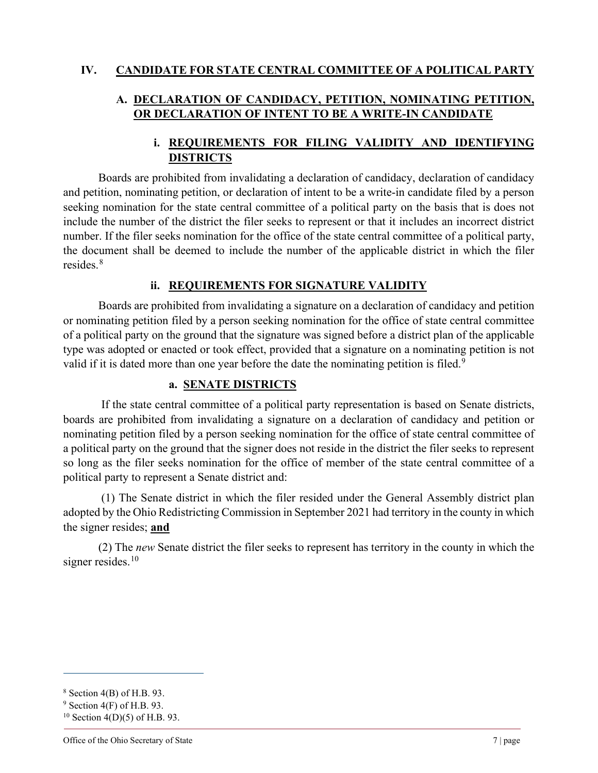#### **IV. CANDIDATE FOR STATE CENTRAL COMMITTEE OF A POLITICAL PARTY**

## **A. DECLARATION OF CANDIDACY, PETITION, NOMINATING PETITION, OR DECLARATION OF INTENT TO BE A WRITE-IN CANDIDATE**

## **i. REQUIREMENTS FOR FILING VALIDITY AND IDENTIFYING DISTRICTS**

Boards are prohibited from invalidating a declaration of candidacy, declaration of candidacy and petition, nominating petition, or declaration of intent to be a write-in candidate filed by a person seeking nomination for the state central committee of a political party on the basis that is does not include the number of the district the filer seeks to represent or that it includes an incorrect district number. If the filer seeks nomination for the office of the state central committee of a political party, the document shall be deemed to include the number of the applicable district in which the filer resides.[8](#page-6-0)

#### **ii. REQUIREMENTS FOR SIGNATURE VALIDITY**

Boards are prohibited from invalidating a signature on a declaration of candidacy and petition or nominating petition filed by a person seeking nomination for the office of state central committee of a political party on the ground that the signature was signed before a district plan of the applicable type was adopted or enacted or took effect, provided that a signature on a nominating petition is not valid if it is dated more than one year before the date the nominating petition is filed.<sup>[9](#page-6-1)</sup>

#### **a. SENATE DISTRICTS**

If the state central committee of a political party representation is based on Senate districts, boards are prohibited from invalidating a signature on a declaration of candidacy and petition or nominating petition filed by a person seeking nomination for the office of state central committee of a political party on the ground that the signer does not reside in the district the filer seeks to represent so long as the filer seeks nomination for the office of member of the state central committee of a political party to represent a Senate district and:

(1) The Senate district in which the filer resided under the General Assembly district plan adopted by the Ohio Redistricting Commission in September 2021 had territory in the county in which the signer resides; **and**

(2) The *new* Senate district the filer seeks to represent has territory in the county in which the signer resides. $10$ 

<span id="page-6-0"></span><sup>8</sup> Section 4(B) of H.B. 93.

<span id="page-6-1"></span> $9$  Section 4(F) of H.B. 93.

<span id="page-6-2"></span> $10$  Section 4(D)(5) of H.B. 93.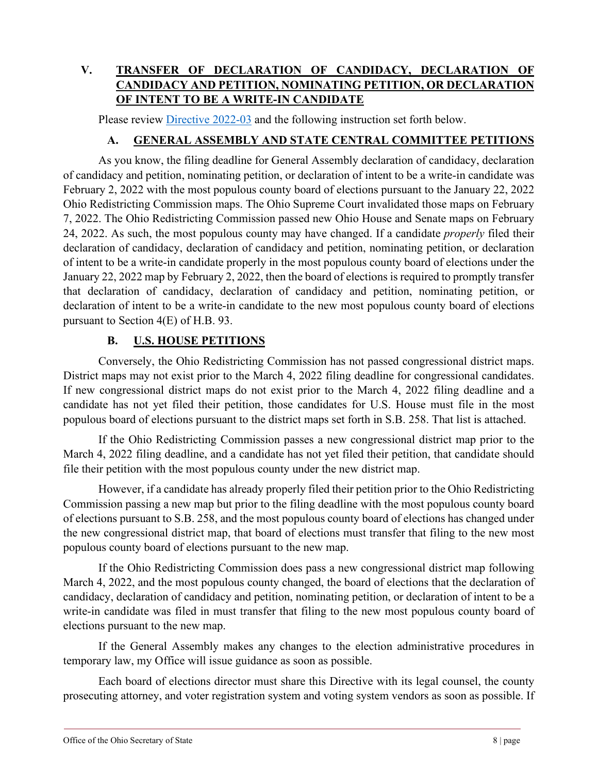# **V. TRANSFER OF DECLARATION OF CANDIDACY, DECLARATION OF CANDIDACY AND PETITION, NOMINATING PETITION, OR DECLARATION OF INTENT TO BE A WRITE-IN CANDIDATE**

Please review [Directive 2022-03](https://www.sos.state.oh.us/globalassets/elections/directives/2022/dir2022-03.pdf) and the following instruction set forth below.

#### **A. GENERAL ASSEMBLY AND STATE CENTRAL COMMITTEE PETITIONS**

As you know, the filing deadline for General Assembly declaration of candidacy, declaration of candidacy and petition, nominating petition, or declaration of intent to be a write-in candidate was February 2, 2022 with the most populous county board of elections pursuant to the January 22, 2022 Ohio Redistricting Commission maps. The Ohio Supreme Court invalidated those maps on February 7, 2022. The Ohio Redistricting Commission passed new Ohio House and Senate maps on February 24, 2022. As such, the most populous county may have changed. If a candidate *properly* filed their declaration of candidacy, declaration of candidacy and petition, nominating petition, or declaration of intent to be a write-in candidate properly in the most populous county board of elections under the January 22, 2022 map by February 2, 2022, then the board of elections is required to promptly transfer that declaration of candidacy, declaration of candidacy and petition, nominating petition, or declaration of intent to be a write-in candidate to the new most populous county board of elections pursuant to Section 4(E) of H.B. 93.

### **B. U.S. HOUSE PETITIONS**

Conversely, the Ohio Redistricting Commission has not passed congressional district maps. District maps may not exist prior to the March 4, 2022 filing deadline for congressional candidates. If new congressional district maps do not exist prior to the March 4, 2022 filing deadline and a candidate has not yet filed their petition, those candidates for U.S. House must file in the most populous board of elections pursuant to the district maps set forth in S.B. 258. That list is attached.

If the Ohio Redistricting Commission passes a new congressional district map prior to the March 4, 2022 filing deadline, and a candidate has not yet filed their petition, that candidate should file their petition with the most populous county under the new district map.

However, if a candidate has already properly filed their petition prior to the Ohio Redistricting Commission passing a new map but prior to the filing deadline with the most populous county board of elections pursuant to S.B. 258, and the most populous county board of elections has changed under the new congressional district map, that board of elections must transfer that filing to the new most populous county board of elections pursuant to the new map.

If the Ohio Redistricting Commission does pass a new congressional district map following March 4, 2022, and the most populous county changed, the board of elections that the declaration of candidacy, declaration of candidacy and petition, nominating petition, or declaration of intent to be a write-in candidate was filed in must transfer that filing to the new most populous county board of elections pursuant to the new map.

If the General Assembly makes any changes to the election administrative procedures in temporary law, my Office will issue guidance as soon as possible.

Each board of elections director must share this Directive with its legal counsel, the county prosecuting attorney, and voter registration system and voting system vendors as soon as possible. If